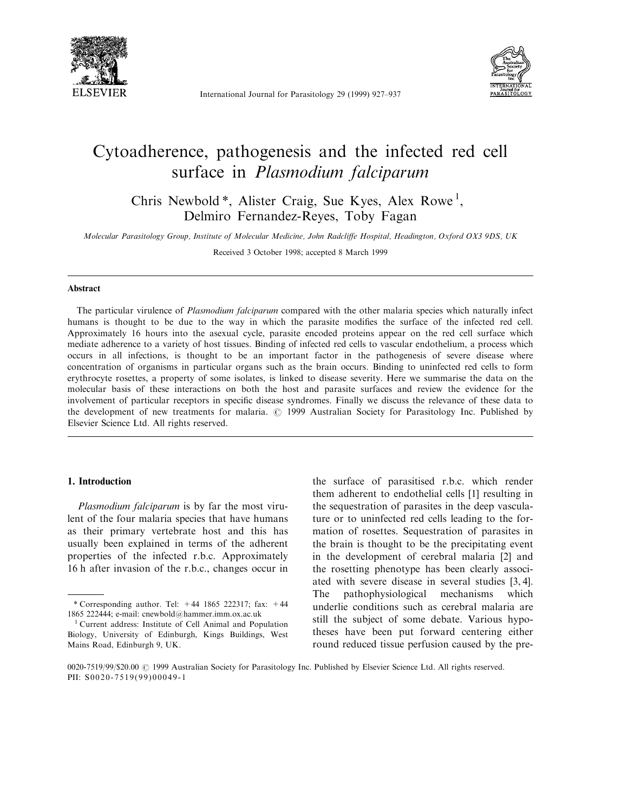

International Journal for Parasitology 29 (1999) 927-937



# Cytoadherence, pathogenesis and the infected red cell surface in Plasmodium falciparum

Chris Newbold<sup>\*</sup>, Alister Craig, Sue Kyes, Alex Rowe<sup>1</sup>, Delmiro Fernandez-Reyes, Toby Fagan

Molecular Parasitology Group, Institute of Molecular Medicine, John Radcliffe Hospital, Headington, Oxford OX3 9DS, UK

Received 3 October 1998; accepted 8 March 1999

#### Abstract

The particular virulence of *Plasmodium falciparum* compared with the other malaria species which naturally infect humans is thought to be due to the way in which the parasite modifies the surface of the infected red cell. Approximately 16 hours into the asexual cycle, parasite encoded proteins appear on the red cell surface which mediate adherence to a variety of host tissues. Binding of infected red cells to vascular endothelium, a process which occurs in all infections, is thought to be an important factor in the pathogenesis of severe disease where concentration of organisms in particular organs such as the brain occurs. Binding to uninfected red cells to form erythrocyte rosettes, a property of some isolates, is linked to disease severity. Here we summarise the data on the molecular basis of these interactions on both the host and parasite surfaces and review the evidence for the involvement of particular receptors in specific disease syndromes. Finally we discuss the relevance of these data to the development of new treatments for malaria.  $\odot$  1999 Australian Society for Parasitology Inc. Published by Elsevier Science Ltd. All rights reserved.

#### 1. Introduction

Plasmodium falciparum is by far the most virulent of the four malaria species that have humans as their primary vertebrate host and this has usually been explained in terms of the adherent properties of the infected r.b.c. Approximately 16 h after invasion of the r.b.c., changes occur in

the surface of parasitised r.b.c. which render them adherent to endothelial cells [1] resulting in the sequestration of parasites in the deep vasculature or to uninfected red cells leading to the formation of rosettes. Sequestration of parasites in the brain is thought to be the precipitating event in the development of cerebral malaria [2] and the rosetting phenotype has been clearly associated with severe disease in several studies [3, 4]. The pathophysiological mechanisms which underlie conditions such as cerebral malaria are still the subject of some debate. Various hypotheses have been put forward centering either round reduced tissue perfusion caused by the pre-

<sup>\*</sup> Corresponding author. Tel:  $+44$  1865 222317; fax:  $+44$ 1865 222444; e-mail: cnewbold@hammer.imm.ox.ac.uk <sup>1</sup> Current address: Institute of Cell Animal and Population

Biology, University of Edinburgh, Kings Buildings, West Mains Road, Edinburgh 9, UK.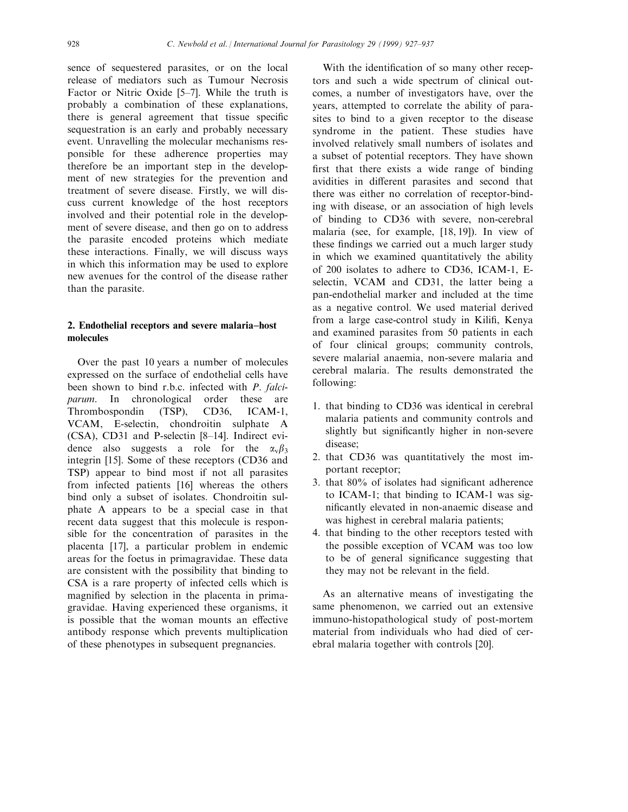sence of sequestered parasites, or on the local release of mediators such as Tumour Necrosis Factor or Nitric Oxide  $[5-7]$ . While the truth is probably a combination of these explanations, there is general agreement that tissue specific sequestration is an early and probably necessary event. Unravelling the molecular mechanisms responsible for these adherence properties may therefore be an important step in the development of new strategies for the prevention and treatment of severe disease. Firstly, we will discuss current knowledge of the host receptors involved and their potential role in the development of severe disease, and then go on to address the parasite encoded proteins which mediate these interactions. Finally, we will discuss ways in which this information may be used to explore new avenues for the control of the disease rather than the parasite.

## 2. Endothelial receptors and severe malaria-host molecules

Over the past 10 years a number of molecules expressed on the surface of endothelial cells have been shown to bind r.b.c. infected with P. falciparum. In chronological order these are Thrombospondin (TSP), CD36, ICAM-1, VCAM, E-selectin, chondroitin sulphate A  $(CSA)$ ,  $CD31$  and P-selectin  $[8–14]$ . Indirect evidence also suggests a role for the  $\alpha_v \beta_3$ integrin [15]. Some of these receptors (CD36 and TSP) appear to bind most if not all parasites from infected patients [16] whereas the others bind only a subset of isolates. Chondroitin sulphate A appears to be a special case in that recent data suggest that this molecule is responsible for the concentration of parasites in the placenta [17], a particular problem in endemic areas for the foetus in primagravidae. These data are consistent with the possibility that binding to CSA is a rare property of infected cells which is magnified by selection in the placenta in primagravidae. Having experienced these organisms, it is possible that the woman mounts an effective antibody response which prevents multiplication of these phenotypes in subsequent pregnancies.

With the identification of so many other receptors and such a wide spectrum of clinical outcomes, a number of investigators have, over the years, attempted to correlate the ability of parasites to bind to a given receptor to the disease syndrome in the patient. These studies have involved relatively small numbers of isolates and a subset of potential receptors. They have shown first that there exists a wide range of binding avidities in different parasites and second that there was either no correlation of receptor-binding with disease, or an association of high levels of binding to CD36 with severe, non-cerebral malaria (see, for example, [18, 19]). In view of these findings we carried out a much larger study in which we examined quantitatively the ability of 200 isolates to adhere to CD36, ICAM-1, Eselectin, VCAM and CD31, the latter being a pan-endothelial marker and included at the time as a negative control. We used material derived from a large case-control study in Kilifi, Kenya and examined parasites from 50 patients in each of four clinical groups; community controls, severe malarial anaemia, non-severe malaria and cerebral malaria. The results demonstrated the following:

- 1. that binding to CD36 was identical in cerebral malaria patients and community controls and slightly but significantly higher in non-severe disease;
- 2. that CD36 was quantitatively the most important receptor;
- 3. that  $80\%$  of isolates had significant adherence to ICAM-1; that binding to ICAM-1 was significantly elevated in non-anaemic disease and was highest in cerebral malaria patients;
- 4. that binding to the other receptors tested with the possible exception of VCAM was too low to be of general significance suggesting that they may not be relevant in the field.

As an alternative means of investigating the same phenomenon, we carried out an extensive immuno-histopathological study of post-mortem material from individuals who had died of cerebral malaria together with controls [20].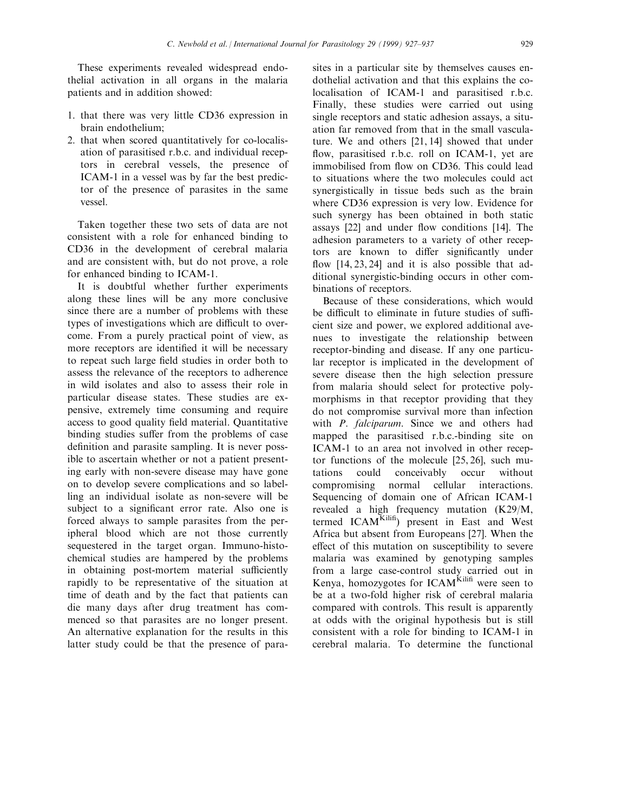These experiments revealed widespread endothelial activation in all organs in the malaria patients and in addition showed:

- 1. that there was very little CD36 expression in brain endothelium;
- 2. that when scored quantitatively for co-localisation of parasitised r.b.c. and individual receptors in cerebral vessels, the presence of ICAM-1 in a vessel was by far the best predictor of the presence of parasites in the same vessel.

Taken together these two sets of data are not consistent with a role for enhanced binding to CD36 in the development of cerebral malaria and are consistent with, but do not prove, a role for enhanced binding to ICAM-1.

It is doubtful whether further experiments along these lines will be any more conclusive since there are a number of problems with these types of investigations which are difficult to overcome. From a purely practical point of view, as more receptors are identified it will be necessary to repeat such large field studies in order both to assess the relevance of the receptors to adherence in wild isolates and also to assess their role in particular disease states. These studies are expensive, extremely time consuming and require access to good quality field material. Quantitative binding studies suffer from the problems of case definition and parasite sampling. It is never possible to ascertain whether or not a patient presenting early with non-severe disease may have gone on to develop severe complications and so labelling an individual isolate as non-severe will be subject to a significant error rate. Also one is forced always to sample parasites from the peripheral blood which are not those currently sequestered in the target organ. Immuno-histochemical studies are hampered by the problems in obtaining post-mortem material sufficiently rapidly to be representative of the situation at time of death and by the fact that patients can die many days after drug treatment has commenced so that parasites are no longer present. An alternative explanation for the results in this latter study could be that the presence of parasites in a particular site by themselves causes endothelial activation and that this explains the colocalisation of ICAM-1 and parasitised r.b.c. Finally, these studies were carried out using single receptors and static adhesion assays, a situation far removed from that in the small vasculature. We and others [21, 14] showed that under flow, parasitised r.b.c. roll on ICAM-1, yet are immobilised from flow on CD36. This could lead to situations where the two molecules could act synergistically in tissue beds such as the brain where CD36 expression is very low. Evidence for such synergy has been obtained in both static assays  $[22]$  and under flow conditions  $[14]$ . The adhesion parameters to a variety of other receptors are known to differ significantly under flow  $[14, 23, 24]$  and it is also possible that additional synergistic-binding occurs in other combinations of receptors.

Because of these considerations, which would be difficult to eliminate in future studies of sufficient size and power, we explored additional avenues to investigate the relationship between receptor-binding and disease. If any one particular receptor is implicated in the development of severe disease then the high selection pressure from malaria should select for protective polymorphisms in that receptor providing that they do not compromise survival more than infection with P. falciparum. Since we and others had mapped the parasitised r.b.c.-binding site on ICAM-1 to an area not involved in other receptor functions of the molecule [25, 26], such mutations could conceivably occur without compromising normal cellular interactions. Sequencing of domain one of African ICAM-1 revealed a high frequency mutation (K29/M, termed ICAM<sup>Kilifi</sup>) present in East and West Africa but absent from Europeans [27]. When the effect of this mutation on susceptibility to severe malaria was examined by genotyping samples from a large case-control study carried out in Kenya, homozygotes for ICAM<sup>Kilifi</sup> were seen to be at a two-fold higher risk of cerebral malaria compared with controls. This result is apparently at odds with the original hypothesis but is still consistent with a role for binding to ICAM-1 in cerebral malaria. To determine the functional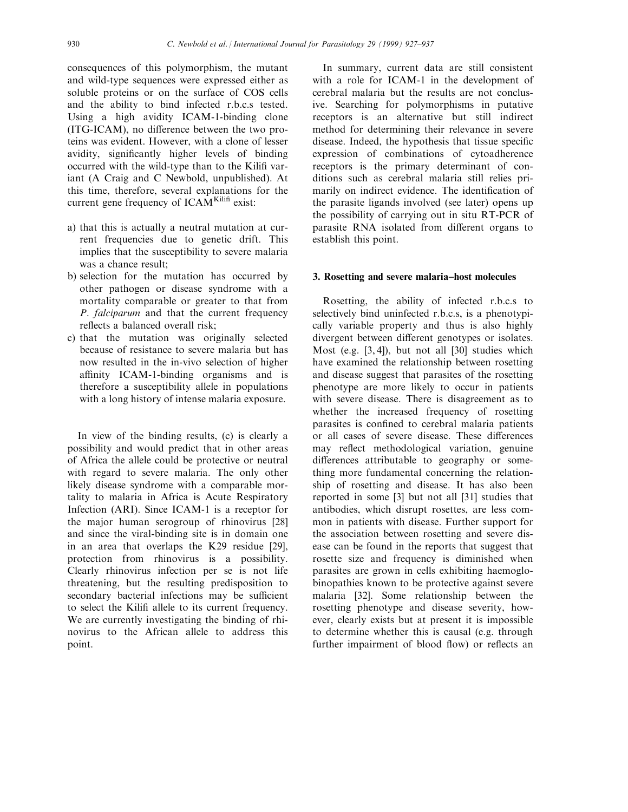consequences of this polymorphism, the mutant and wild-type sequences were expressed either as soluble proteins or on the surface of COS cells and the ability to bind infected r.b.c.s tested. Using a high avidity ICAM-1-binding clone (ITG-ICAM), no difference between the two proteins was evident. However, with a clone of lesser avidity, significantly higher levels of binding occurred with the wild-type than to the Kilifi variant (A Craig and C Newbold, unpublished). At this time, therefore, several explanations for the current gene frequency of  $ICAM<sup>Kilifi</sup> exist$ :

- a) that this is actually a neutral mutation at current frequencies due to genetic drift. This implies that the susceptibility to severe malaria was a chance result;
- b) selection for the mutation has occurred by other pathogen or disease syndrome with a mortality comparable or greater to that from P. falciparum and that the current frequency reflects a balanced overall risk;
- c) that the mutation was originally selected because of resistance to severe malaria but has now resulted in the in-vivo selection of higher affinity ICAM-1-binding organisms and is therefore a susceptibility allele in populations with a long history of intense malaria exposure.

In view of the binding results, (c) is clearly a possibility and would predict that in other areas of Africa the allele could be protective or neutral with regard to severe malaria. The only other likely disease syndrome with a comparable mortality to malaria in Africa is Acute Respiratory Infection (ARI). Since ICAM-1 is a receptor for the major human serogroup of rhinovirus [28] and since the viral-binding site is in domain one in an area that overlaps the K29 residue [29], protection from rhinovirus is a possibility. Clearly rhinovirus infection per se is not life threatening, but the resulting predisposition to secondary bacterial infections may be sufficient to select the Kilifi allele to its current frequency. We are currently investigating the binding of rhinovirus to the African allele to address this point.

In summary, current data are still consistent with a role for ICAM-1 in the development of cerebral malaria but the results are not conclusive. Searching for polymorphisms in putative receptors is an alternative but still indirect method for determining their relevance in severe disease. Indeed, the hypothesis that tissue specific expression of combinations of cytoadherence receptors is the primary determinant of conditions such as cerebral malaria still relies primarily on indirect evidence. The identification of the parasite ligands involved (see later) opens up the possibility of carrying out in situ RT-PCR of parasite RNA isolated from different organs to establish this point.

#### 3. Rosetting and severe malaria-host molecules

Rosetting, the ability of infected r.b.c.s to selectively bind uninfected r.b.c.s, is a phenotypically variable property and thus is also highly divergent between different genotypes or isolates. Most (e.g. [3, 4]), but not all [30] studies which have examined the relationship between rosetting and disease suggest that parasites of the rosetting phenotype are more likely to occur in patients with severe disease. There is disagreement as to whether the increased frequency of rosetting parasites is confined to cerebral malaria patients or all cases of severe disease. These differences may reflect methodological variation, genuine differences attributable to geography or something more fundamental concerning the relationship of rosetting and disease. It has also been reported in some [3] but not all [31] studies that antibodies, which disrupt rosettes, are less common in patients with disease. Further support for the association between rosetting and severe disease can be found in the reports that suggest that rosette size and frequency is diminished when parasites are grown in cells exhibiting haemoglobinopathies known to be protective against severe malaria [32]. Some relationship between the rosetting phenotype and disease severity, however, clearly exists but at present it is impossible to determine whether this is causal (e.g. through further impairment of blood flow) or reflects an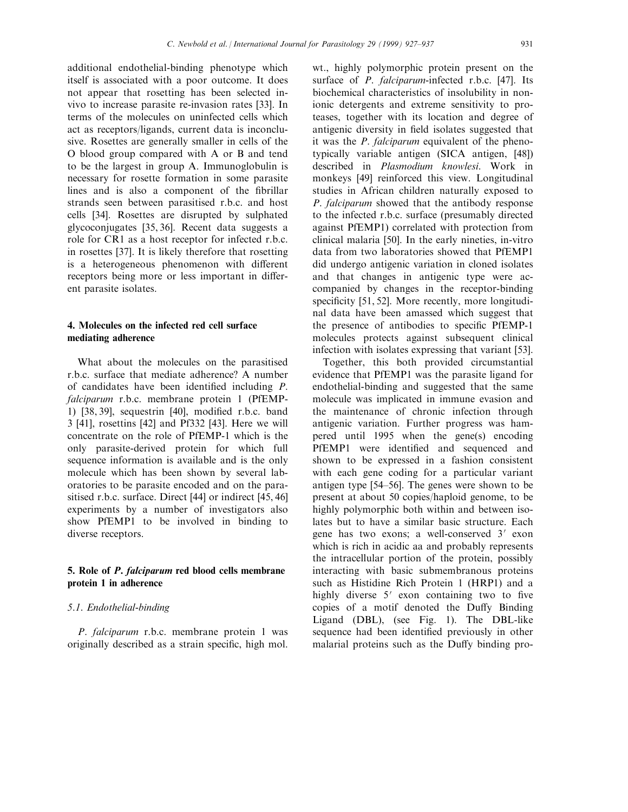additional endothelial-binding phenotype which itself is associated with a poor outcome. It does not appear that rosetting has been selected invivo to increase parasite re-invasion rates [33]. In terms of the molecules on uninfected cells which act as receptors/ligands, current data is inconclusive. Rosettes are generally smaller in cells of the O blood group compared with A or B and tend to be the largest in group A. Immunoglobulin is necessary for rosette formation in some parasite lines and is also a component of the fibrillar strands seen between parasitised r.b.c. and host cells [34]. Rosettes are disrupted by sulphated glycoconjugates [35, 36]. Recent data suggests a role for CR1 as a host receptor for infected r.b.c. in rosettes [37]. It is likely therefore that rosetting is a heterogeneous phenomenon with different receptors being more or less important in different parasite isolates.

## 4. Molecules on the infected red cell surface mediating adherence

What about the molecules on the parasitised r.b.c. surface that mediate adherence? A number of candidates have been identified including  $P$ . falciparum r.b.c. membrane protein 1 (PfEMP-1)  $[38, 39]$ , sequestrin  $[40]$ , modified r.b.c. band 3 [41], rosettins [42] and Pf332 [43]. Here we will concentrate on the role of PfEMP-1 which is the only parasite-derived protein for which full sequence information is available and is the only molecule which has been shown by several laboratories to be parasite encoded and on the parasitised r.b.c. surface. Direct [44] or indirect [45, 46] experiments by a number of investigators also show PfEMP1 to be involved in binding to diverse receptors.

# 5. Role of P. falciparum red blood cells membrane protein 1 in adherence

#### 5.1. Endothelial-binding

P. falciparum r.b.c. membrane protein 1 was originally described as a strain specific, high mol.

wt., highly polymorphic protein present on the surface of *P. falciparum*-infected r.b.c. [47]. Its biochemical characteristics of insolubility in nonionic detergents and extreme sensitivity to proteases, together with its location and degree of antigenic diversity in field isolates suggested that it was the *P. falciparum* equivalent of the phenotypically variable antigen (SICA antigen, [48]) described in Plasmodium knowlesi. Work in monkeys [49] reinforced this view. Longitudinal studies in African children naturally exposed to P. falciparum showed that the antibody response to the infected r.b.c. surface (presumably directed against PfEMP1) correlated with protection from clinical malaria [50]. In the early nineties, in-vitro data from two laboratories showed that PfEMP1 did undergo antigenic variation in cloned isolates and that changes in antigenic type were accompanied by changes in the receptor-binding specificity [51, 52]. More recently, more longitudinal data have been amassed which suggest that the presence of antibodies to specific PfEMP-1 molecules protects against subsequent clinical infection with isolates expressing that variant [53].

Together, this both provided circumstantial evidence that PfEMP1 was the parasite ligand for endothelial-binding and suggested that the same molecule was implicated in immune evasion and the maintenance of chronic infection through antigenic variation. Further progress was hampered until 1995 when the gene(s) encoding PfEMP1 were identified and sequenced and shown to be expressed in a fashion consistent with each gene coding for a particular variant antigen type  $[54–56]$ . The genes were shown to be present at about 50 copies/haploid genome, to be highly polymorphic both within and between isolates but to have a similar basic structure. Each gene has two exons; a well-conserved  $3'$  exon which is rich in acidic aa and probably represents the intracellular portion of the protein, possibly interacting with basic submembranous proteins such as Histidine Rich Protein 1 (HRP1) and a highly diverse  $5'$  exon containing two to five copies of a motif denoted the Duffy Binding Ligand (DBL), (see Fig. 1). The DBL-like sequence had been identified previously in other malarial proteins such as the Duffy binding pro-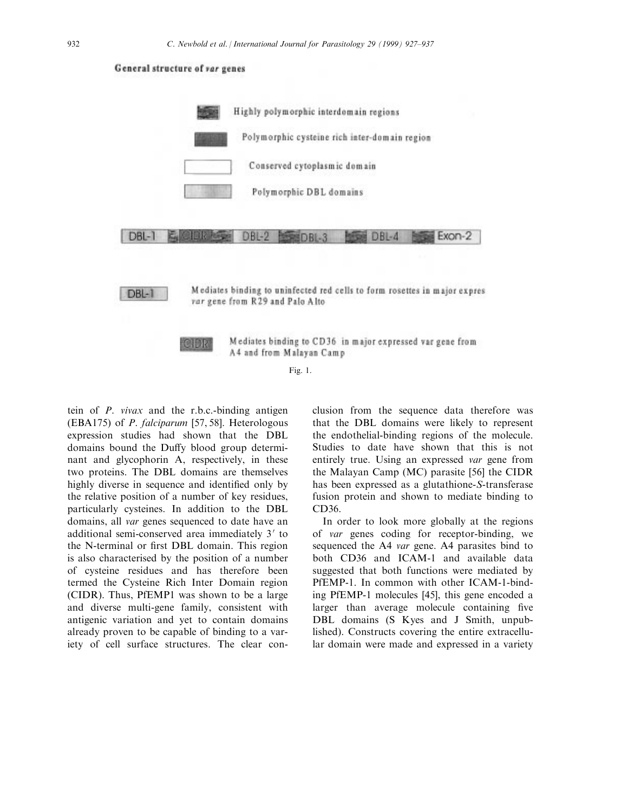

tein of P. vivax and the r.b.c.-binding antigen (EBA175) of P. falciparum [57, 58]. Heterologous expression studies had shown that the DBL domains bound the Duffy blood group determinant and glycophorin A, respectively, in these two proteins. The DBL domains are themselves highly diverse in sequence and identified only by the relative position of a number of key residues, particularly cysteines. In addition to the DBL domains, all var genes sequenced to date have an additional semi-conserved area immediately 3' to the N-terminal or first DBL domain. This region is also characterised by the position of a number of cysteine residues and has therefore been termed the Cysteine Rich Inter Domain region (CIDR). Thus, PfEMP1 was shown to be a large and diverse multi-gene family, consistent with antigenic variation and yet to contain domains already proven to be capable of binding to a variety of cell surface structures. The clear conclusion from the sequence data therefore was that the DBL domains were likely to represent the endothelial-binding regions of the molecule. Studies to date have shown that this is not entirely true. Using an expressed var gene from the Malayan Camp (MC) parasite [56] the CIDR has been expressed as a glutathione-S-transferase fusion protein and shown to mediate binding to CD36.

In order to look more globally at the regions of var genes coding for receptor-binding, we sequenced the A4 var gene. A4 parasites bind to both CD36 and ICAM-1 and available data suggested that both functions were mediated by PfEMP-1. In common with other ICAM-1-binding PfEMP-1 molecules [45], this gene encoded a larger than average molecule containing five DBL domains (S Kyes and J Smith, unpublished). Constructs covering the entire extracellular domain were made and expressed in a variety

## General structure of var genes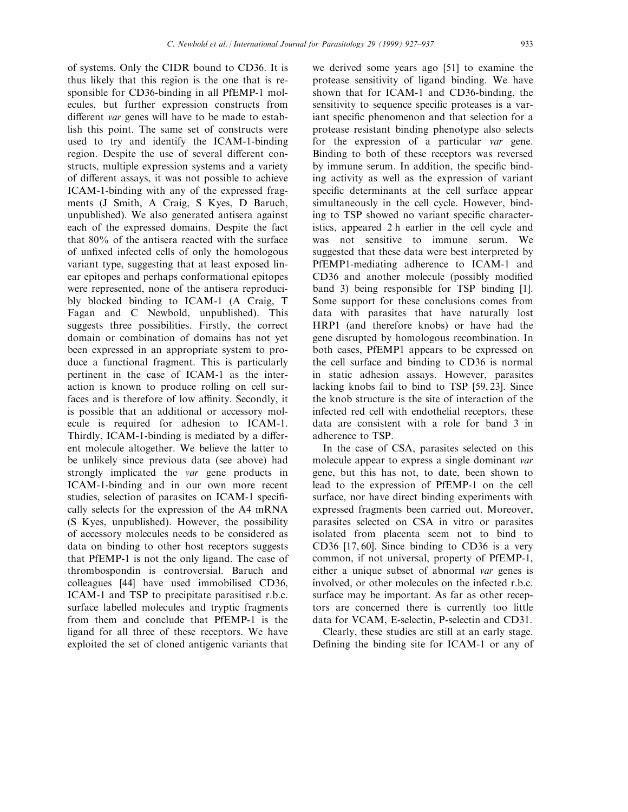of systems. Only the CIDR bound to CD36. It is thus likely that this region is the one that is responsible for CD36-binding in all PfEMP-1 molecules, but further expression constructs from different var genes will have to be made to establish this point. The same set of constructs were used to try and identify the ICAM-1-binding region. Despite the use of several different constructs, multiple expression systems and a variety of different assays, it was not possible to achieve ICAM-1-binding with any of the expressed fragments (J Smith, A Craig, S Kyes, D Baruch, unpublished). We also generated antisera against each of the expressed domains. Despite the fact that 80% of the antisera reacted with the surface of unfixed infected cells of only the homologous variant type, suggesting that at least exposed linear epitopes and perhaps conformational epitopes were represented, none of the antisera reproducibly blocked binding to ICAM-1 (A Craig, T Fagan and C Newbold, unpublished). This suggests three possibilities. Firstly, the correct domain or combination of domains has not yet been expressed in an appropriate system to produce a functional fragment. This is particularly pertinent in the case of ICAM-1 as the interaction is known to produce rolling on cell surfaces and is therefore of low affinity. Secondly, it is possible that an additional or accessory molecule is required for adhesion to ICAM-1. Thirdly, ICAM-1-binding is mediated by a different molecule altogether. We believe the latter to be unlikely since previous data (see above) had strongly implicated the var gene products in ICAM-1-binding and in our own more recent studies, selection of parasites on ICAM-1 specifically selects for the expression of the A4 mRNA (S Kyes, unpublished). However, the possibility of accessory molecules needs to be considered as data on binding to other host receptors suggests that PfEMP-1 is not the only ligand. The case of thrombospondin is controversial. Baruch and colleagues [44] have used immobilised CD36, ICAM-1 and TSP to precipitate parasitised r.b.c. surface labelled molecules and tryptic fragments from them and conclude that PfEMP-1 is the ligand for all three of these receptors. We have exploited the set of cloned antigenic variants that

we derived some years ago [51] to examine the protease sensitivity of ligand binding. We have shown that for ICAM-1 and CD36-binding, the sensitivity to sequence specific proteases is a variant specific phenomenon and that selection for a protease resistant binding phenotype also selects for the expression of a particular var gene. Binding to both of these receptors was reversed by immune serum. In addition, the specific binding activity as well as the expression of variant specific determinants at the cell surface appear simultaneously in the cell cycle. However, binding to TSP showed no variant specific characteristics, appeared 2 h earlier in the cell cycle and was not sensitive to immune serum. We suggested that these data were best interpreted by PfEMP1-mediating adherence to ICAM-1 and CD36 and another molecule (possibly modified band 3) being responsible for TSP binding [1]. Some support for these conclusions comes from data with parasites that have naturally lost HRP1 (and therefore knobs) or have had the gene disrupted by homologous recombination. In both cases, PfEMP1 appears to be expressed on the cell surface and binding to CD36 is normal in static adhesion assays. However, parasites lacking knobs fail to bind to TSP [59, 23]. Since the knob structure is the site of interaction of the infected red cell with endothelial receptors, these data are consistent with a role for band 3 in adherence to TSP.

In the case of CSA, parasites selected on this molecule appear to express a single dominant var gene, but this has not, to date, been shown to lead to the expression of PfEMP-1 on the cell surface, nor have direct binding experiments with expressed fragments been carried out. Moreover, parasites selected on CSA in vitro or parasites isolated from placenta seem not to bind to CD36 [17, 60]. Since binding to CD36 is a very common, if not universal, property of PfEMP-1, either a unique subset of abnormal var genes is involved, or other molecules on the infected r.b.c. surface may be important. As far as other receptors are concerned there is currently too little data for VCAM, E-selectin, P-selectin and CD31.

Clearly, these studies are still at an early stage. Defining the binding site for ICAM-1 or any of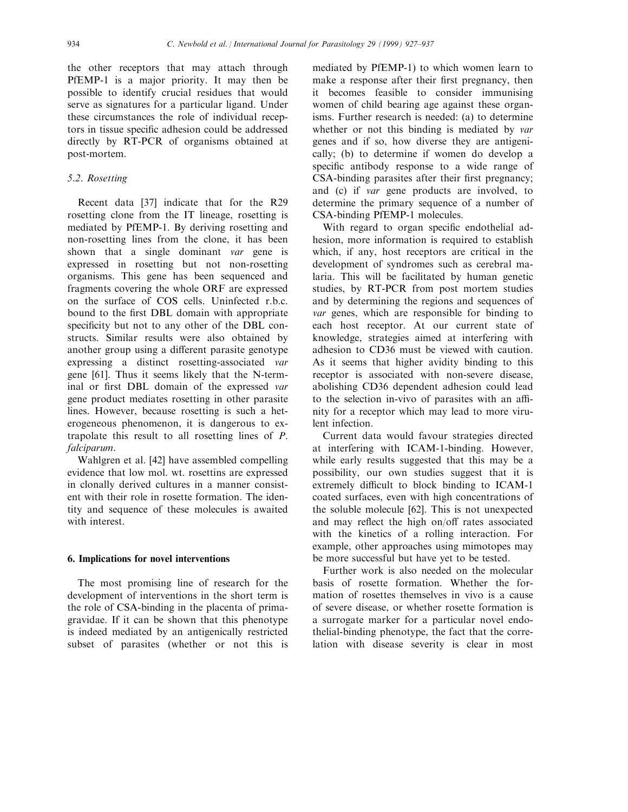the other receptors that may attach through PfEMP-1 is a major priority. It may then be possible to identify crucial residues that would serve as signatures for a particular ligand. Under these circumstances the role of individual receptors in tissue specific adhesion could be addressed directly by RT-PCR of organisms obtained at post-mortem.

### 5.2. Rosetting

Recent data [37] indicate that for the R29 rosetting clone from the IT lineage, rosetting is mediated by PfEMP-1. By deriving rosetting and non-rosetting lines from the clone, it has been shown that a single dominant var gene is expressed in rosetting but not non-rosetting organisms. This gene has been sequenced and fragments covering the whole ORF are expressed on the surface of COS cells. Uninfected r.b.c. bound to the first DBL domain with appropriate specificity but not to any other of the DBL constructs. Similar results were also obtained by another group using a different parasite genotype expressing a distinct rosetting-associated var gene [61]. Thus it seems likely that the N-terminal or first DBL domain of the expressed var gene product mediates rosetting in other parasite lines. However, because rosetting is such a heterogeneous phenomenon, it is dangerous to extrapolate this result to all rosetting lines of P. falciparum.

Wahlgren et al. [42] have assembled compelling evidence that low mol. wt. rosettins are expressed in clonally derived cultures in a manner consistent with their role in rosette formation. The identity and sequence of these molecules is awaited with interest.

# 6. Implications for novel interventions

The most promising line of research for the development of interventions in the short term is the role of CSA-binding in the placenta of primagravidae. If it can be shown that this phenotype is indeed mediated by an antigenically restricted subset of parasites (whether or not this is mediated by PfEMP-1) to which women learn to make a response after their first pregnancy, then it becomes feasible to consider immunising women of child bearing age against these organisms. Further research is needed: (a) to determine whether or not this binding is mediated by var genes and if so, how diverse they are antigenically; (b) to determine if women do develop a specific antibody response to a wide range of CSA-binding parasites after their first pregnancy; and (c) if var gene products are involved, to determine the primary sequence of a number of CSA-binding PfEMP-1 molecules.

With regard to organ specific endothelial adhesion, more information is required to establish which, if any, host receptors are critical in the development of syndromes such as cerebral malaria. This will be facilitated by human genetic studies, by RT-PCR from post mortem studies and by determining the regions and sequences of var genes, which are responsible for binding to each host receptor. At our current state of knowledge, strategies aimed at interfering with adhesion to CD36 must be viewed with caution. As it seems that higher avidity binding to this receptor is associated with non-severe disease, abolishing CD36 dependent adhesion could lead to the selection in-vivo of parasites with an affinity for a receptor which may lead to more virulent infection.

Current data would favour strategies directed at interfering with ICAM-1-binding. However, while early results suggested that this may be a possibility, our own studies suggest that it is extremely difficult to block binding to ICAM-1 coated surfaces, even with high concentrations of the soluble molecule [62]. This is not unexpected and may reflect the high on/off rates associated with the kinetics of a rolling interaction. For example, other approaches using mimotopes may be more successful but have yet to be tested.

Further work is also needed on the molecular basis of rosette formation. Whether the formation of rosettes themselves in vivo is a cause of severe disease, or whether rosette formation is a surrogate marker for a particular novel endothelial-binding phenotype, the fact that the correlation with disease severity is clear in most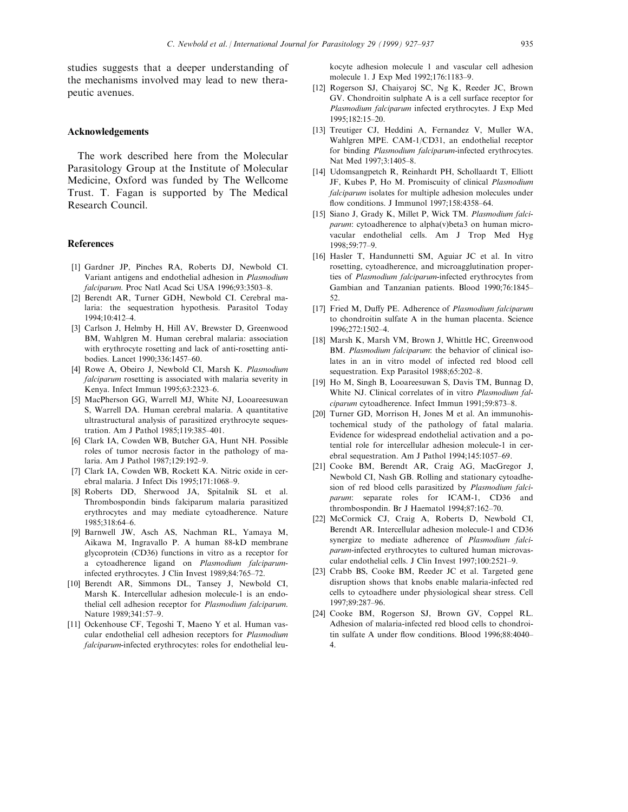studies suggests that a deeper understanding of the mechanisms involved may lead to new therapeutic avenues.

#### Acknowledgements

The work described here from the Molecular Parasitology Group at the Institute of Molecular Medicine, Oxford was funded by The Wellcome Trust. T. Fagan is supported by The Medical Research Council.

#### References

- [1] Gardner JP, Pinches RA, Roberts DJ, Newbold CI. Variant antigens and endothelial adhesion in Plasmodium falciparum. Proc Natl Acad Sci USA 1996;93:3503-8.
- [2] Berendt AR, Turner GDH, Newbold CI. Cerebral malaria: the sequestration hypothesis. Parasitol Today 1994;10:412±4.
- [3] Carlson J, Helmby H, Hill AV, Brewster D, Greenwood BM, Wahlgren M. Human cerebral malaria: association with erythrocyte rosetting and lack of anti-rosetting antibodies. Lancet 1990;336:1457-60.
- [4] Rowe A, Obeiro J, Newbold CI, Marsh K. Plasmodium falciparum rosetting is associated with malaria severity in Kenya. Infect Immun 1995;63:2323-6.
- [5] MacPherson GG, Warrell MJ, White NJ, Looareesuwan S, Warrell DA. Human cerebral malaria. A quantitative ultrastructural analysis of parasitized erythrocyte sequestration. Am J Pathol 1985;119:385-401.
- [6] Clark IA, Cowden WB, Butcher GA, Hunt NH. Possible roles of tumor necrosis factor in the pathology of malaria. Am J Pathol 1987;129:192-9.
- [7] Clark IA, Cowden WB, Rockett KA. Nitric oxide in cerebral malaria. J Infect Dis 1995;171:1068-9.
- [8] Roberts DD, Sherwood JA, Spitalnik SL et al. Thrombospondin binds falciparum malaria parasitized erythrocytes and may mediate cytoadherence. Nature 1985;318:64-6.
- [9] Barnwell JW, Asch AS, Nachman RL, Yamaya M, Aikawa M, Ingravallo P. A human 88-kD membrane glycoprotein (CD36) functions in vitro as a receptor for a cytoadherence ligand on Plasmodium falciparuminfected erythrocytes. J Clin Invest 1989;84:765-72.
- [10] Berendt AR, Simmons DL, Tansey J, Newbold CI, Marsh K. Intercellular adhesion molecule-1 is an endothelial cell adhesion receptor for Plasmodium falciparum. Nature 1989;341:57-9.
- [11] Ockenhouse CF, Tegoshi T, Maeno Y et al. Human vascular endothelial cell adhesion receptors for Plasmodium falciparum-infected erythrocytes: roles for endothelial leu-

kocyte adhesion molecule 1 and vascular cell adhesion molecule 1. J Exp Med 1992;176:1183-9.

- [12] Rogerson SJ, Chaiyaroj SC, Ng K, Reeder JC, Brown GV. Chondroitin sulphate A is a cell surface receptor for Plasmodium falciparum infected erythrocytes. J Exp Med 1995;182:15±20.
- [13] Treutiger CJ, Heddini A, Fernandez V, Muller WA, Wahlgren MPE. CAM-1/CD31, an endothelial receptor for binding Plasmodium falciparum-infected erythrocytes. Nat Med 1997;3:1405-8.
- [14] Udomsangpetch R, Reinhardt PH, Schollaardt T, Elliott JF, Kubes P, Ho M. Promiscuity of clinical Plasmodium falciparum isolates for multiple adhesion molecules under flow conditions. J Immunol 1997;158:4358-64.
- [15] Siano J, Grady K, Millet P, Wick TM. Plasmodium falciparum: cytoadherence to alpha(v)beta3 on human microvacular endothelial cells. Am J Trop Med Hyg 1998;59:77±9.
- [16] Hasler T, Handunnetti SM, Aguiar JC et al. In vitro rosetting, cytoadherence, and microagglutination properties of Plasmodium falciparum-infected erythrocytes from Gambian and Tanzanian patients. Blood 1990;76:1845-52.
- [17] Fried M, Duffy PE. Adherence of Plasmodium falciparum to chondroitin sulfate A in the human placenta. Science 1996;272:1502±4.
- [18] Marsh K, Marsh VM, Brown J, Whittle HC, Greenwood BM. Plasmodium falciparum: the behavior of clinical isolates in an in vitro model of infected red blood cell sequestration. Exp Parasitol 1988;65:202-8.
- [19] Ho M, Singh B, Looareesuwan S, Davis TM, Bunnag D, White NJ. Clinical correlates of in vitro Plasmodium falciparum cytoadherence. Infect Immun 1991;59:873-8.
- [20] Turner GD, Morrison H, Jones M et al. An immunohistochemical study of the pathology of fatal malaria. Evidence for widespread endothelial activation and a potential role for intercellular adhesion molecule-1 in cerebral sequestration. Am J Pathol 1994;145:1057-69.
- [21] Cooke BM, Berendt AR, Craig AG, MacGregor J, Newbold CI, Nash GB. Rolling and stationary cytoadhesion of red blood cells parasitized by Plasmodium falciparum: separate roles for ICAM-1, CD36 and thrombospondin. Br J Haematol  $1994;87:162-70$ .
- [22] McCormick CJ, Craig A, Roberts D, Newbold CI, Berendt AR. Intercellular adhesion molecule-1 and CD36 synergize to mediate adherence of Plasmodium falciparum-infected erythrocytes to cultured human microvascular endothelial cells. J Clin Invest 1997:100:2521-9.
- [23] Crabb BS, Cooke BM, Reeder JC et al. Targeted gene disruption shows that knobs enable malaria-infected red cells to cytoadhere under physiological shear stress. Cell 1997;89:287±96.
- [24] Cooke BM, Rogerson SJ, Brown GV, Coppel RL. Adhesion of malaria-infected red blood cells to chondroitin sulfate A under flow conditions. Blood 1996;88:4040-4.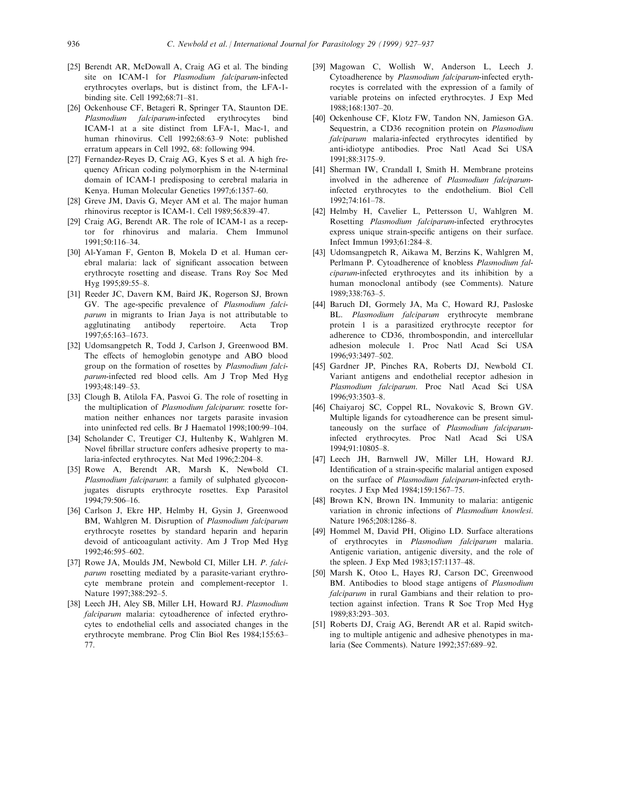- [25] Berendt AR, McDowall A, Craig AG et al. The binding site on ICAM-1 for Plasmodium falciparum-infected erythrocytes overlaps, but is distinct from, the LFA-1 binding site. Cell 1992;68:71-81.
- [26] Ockenhouse CF, Betageri R, Springer TA, Staunton DE. Plasmodium falciparum-infected erythrocytes bind ICAM-1 at a site distinct from LFA-1, Mac-1, and human rhinovirus. Cell 1992;68:63-9 Note: published erratum appears in Cell 1992, 68: following 994.
- [27] Fernandez-Reyes D, Craig AG, Kyes S et al. A high frequency African coding polymorphism in the N-terminal domain of ICAM-1 predisposing to cerebral malaria in Kenya. Human Molecular Genetics 1997;6:1357-60.
- [28] Greve JM, Davis G, Meyer AM et al. The major human rhinovirus receptor is ICAM-1. Cell 1989;56:839-47.
- [29] Craig AG, Berendt AR. The role of ICAM-1 as a receptor for rhinovirus and malaria. Chem Immunol 1991;50:116±34.
- [30] Al-Yaman F, Genton B, Mokela D et al. Human cerebral malaria: lack of significant assocation between erythrocyte rosetting and disease. Trans Roy Soc Med Hyg 1995;89:55-8.
- [31] Reeder JC, Davern KM, Baird JK, Rogerson SJ, Brown GV. The age-specific prevalence of Plasmodium falciparum in migrants to Irian Jaya is not attributable to agglutinating antibody repertoire. Acta Trop 1997;65:163±1673.
- [32] Udomsangpetch R, Todd J, Carlson J, Greenwood BM. The effects of hemoglobin genotype and ABO blood group on the formation of rosettes by Plasmodium falciparum-infected red blood cells. Am J Trop Med Hyg 1993;48:149-53.
- [33] Clough B, Atilola FA, Pasvoi G. The role of rosetting in the multiplication of Plasmodium falciparum: rosette formation neither enhances nor targets parasite invasion into uninfected red cells. Br J Haematol 1998;100:99-104.
- [34] Scholander C, Treutiger CJ, Hultenby K, Wahlgren M. Novel fibrillar structure confers adhesive property to malaria-infected erythrocytes. Nat Med 1996;2:204-8.
- [35] Rowe A, Berendt AR, Marsh K, Newbold CI. Plasmodium falciparum: a family of sulphated glycoconjugates disrupts erythrocyte rosettes. Exp Parasitol 1994;79:506-16.
- [36] Carlson J, Ekre HP, Helmby H, Gysin J, Greenwood BM, Wahlgren M. Disruption of Plasmodium falciparum erythrocyte rosettes by standard heparin and heparin devoid of anticoagulant activity. Am J Trop Med Hyg 1992;46:595±602.
- [37] Rowe JA, Moulds JM, Newbold CI, Miller LH. P. falciparum rosetting mediated by a parasite-variant erythrocyte membrane protein and complement-receptor 1. Nature 1997;388:292-5.
- [38] Leech JH, Aley SB, Miller LH, Howard RJ. Plasmodium falciparum malaria: cytoadherence of infected erythrocytes to endothelial cells and associated changes in the erythrocyte membrane. Prog Clin Biol Res 1984;155:63-77.
- [39] Magowan C, Wollish W, Anderson L, Leech J. Cytoadherence by Plasmodium falciparum-infected erythrocytes is correlated with the expression of a family of variable proteins on infected erythrocytes. J Exp Med 1988;168:1307±20.
- [40] Ockenhouse CF, Klotz FW, Tandon NN, Jamieson GA. Sequestrin, a CD36 recognition protein on Plasmodium falciparum malaria-infected erythrocytes identified by anti-idiotype antibodies. Proc Natl Acad Sci USA 1991;88:3175±9.
- [41] Sherman IW, Crandall I, Smith H. Membrane proteins involved in the adherence of Plasmodium falciparuminfected erythrocytes to the endothelium. Biol Cell 1992;74:161-78.
- [42] Helmby H, Cavelier L, Pettersson U, Wahlgren M. Rosetting Plasmodium falciparum-infected erythrocytes express unique strain-specific antigens on their surface. Infect Immun 1993;61:284-8.
- [43] Udomsangpetch R, Aikawa M, Berzins K, Wahlgren M, Perlmann P. Cytoadherence of knobless Plasmodium falciparum-infected erythrocytes and its inhibition by a human monoclonal antibody (see Comments). Nature 1989;338:763±5.
- [44] Baruch DI, Gormely JA, Ma C, Howard RJ, Pasloske BL. Plasmodium falciparum erythrocyte membrane protein 1 is a parasitized erythrocyte receptor for adherence to CD36, thrombospondin, and intercellular adhesion molecule 1. Proc Natl Acad Sci USA 1996;93:3497±502.
- [45] Gardner JP, Pinches RA, Roberts DJ, Newbold CI. Variant antigens and endothelial receptor adhesion in Plasmodium falciparum. Proc Natl Acad Sci USA 1996;93:3503±8.
- [46] Chaiyaroj SC, Coppel RL, Novakovic S, Brown GV. Multiple ligands for cytoadherence can be present simultaneously on the surface of Plasmodium falciparuminfected erythrocytes. Proc Natl Acad Sci USA 1994;91:10805±8.
- [47] Leech JH, Barnwell JW, Miller LH, Howard RJ. Identification of a strain-specific malarial antigen exposed on the surface of Plasmodium falciparum-infected erythrocytes. J Exp Med 1984;159:1567-75.
- [48] Brown KN, Brown IN. Immunity to malaria: antigenic variation in chronic infections of Plasmodium knowlesi. Nature 1965;208:1286-8.
- [49] Hommel M, David PH, Oligino LD. Surface alterations of erythrocytes in Plasmodium falciparum malaria. Antigenic variation, antigenic diversity, and the role of the spleen. J Exp Med 1983;157:1137-48.
- [50] Marsh K, Otoo L, Hayes RJ, Carson DC, Greenwood BM. Antibodies to blood stage antigens of *Plasmodium* falciparum in rural Gambians and their relation to protection against infection. Trans R Soc Trop Med Hyg 1989;83:293-303.
- [51] Roberts DJ, Craig AG, Berendt AR et al. Rapid switching to multiple antigenic and adhesive phenotypes in malaria (See Comments). Nature 1992;357:689-92.